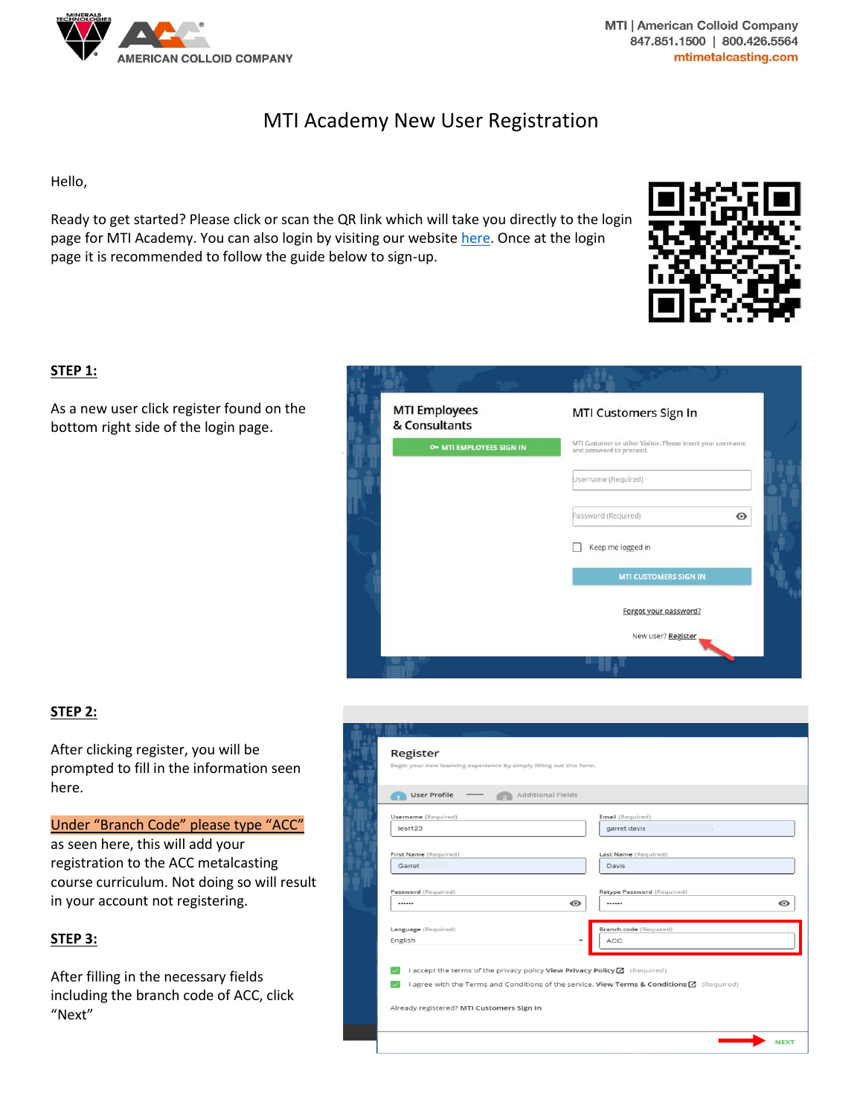

**MTI | American Colloid Company** 847.851.1500 | 800.426.5564 mtimetalcasting.com

# MTI Academy New User Registration

Hello,

Ready to get started? Please click or scan the QR link which will take you directly to the login page for MTI Academy. You can also login by visiting our website [here.](https://www.mineralstech.com/business-segments/performance-materials/american-colloid-company/mti-university) Once at the login page it is recommended to follow the guide below to sign-up.



### **STEP 1:**

As a new user click register found on the bottom right side of the login page.



## **STEP 2:**

After clicking register, you will be prompted to fill in the information seen here.

Under "Branch Code" please type "ACC"

as seen here, this will add your registration to the ACC metalcasting course curriculum. Not doing so will result in your account not registering.

#### **STEP 3:**

After filling in the necessary fields including the branch code of ACC, click "Next"

| <b>User Profile</b>   | <b>Additional Fields</b>                                                           |
|-----------------------|------------------------------------------------------------------------------------|
| Username (Required)   | Email (Required)                                                                   |
| test123               | garret.davis<br>- 11                                                               |
| First Name (Required) | Last Name (Required)                                                               |
| Garret                | Davis                                                                              |
| Password (Required)   | Retype Password (Required)                                                         |
|                       | $\bullet$<br>                                                                      |
| Language (Required)   | Branch code (Required)                                                             |
| English               | ACC<br>$\overline{\phantom{0}}$                                                    |
|                       |                                                                                    |
|                       | I accept the terms of the privacy policy View Privacy Policy <a>[</a> C (Required) |